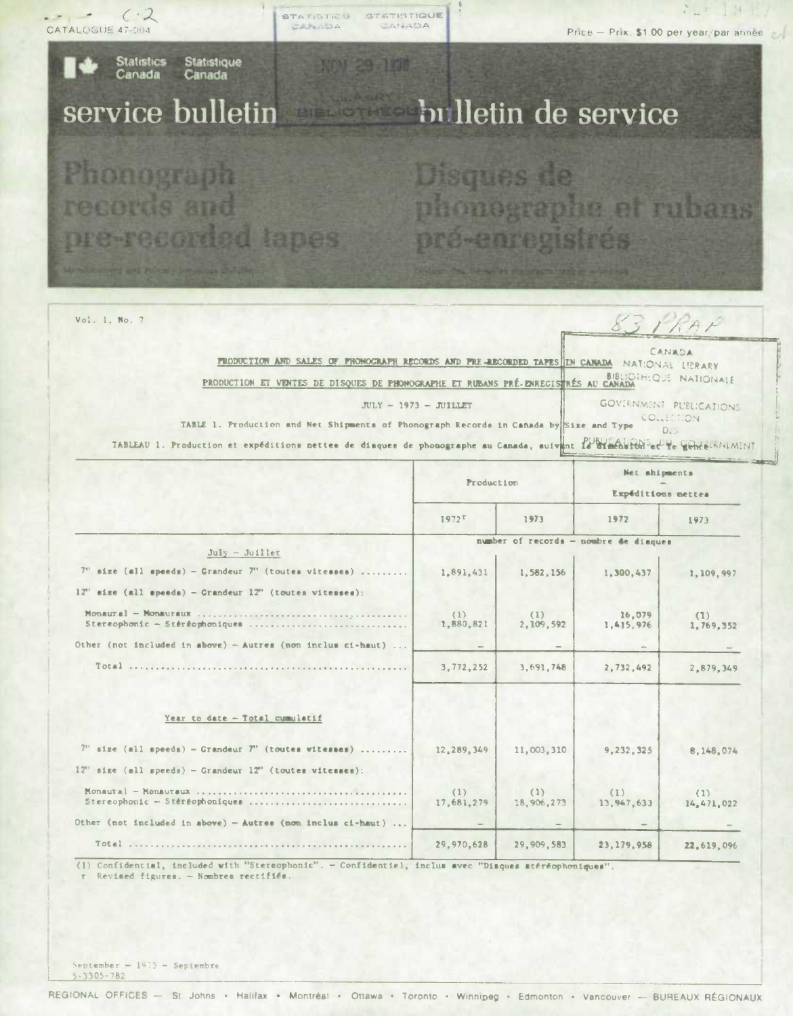

| PRODUCTION AND SALES OF PHONOGRAPH RECORDS AND PRE-RECORDED TAPES IN CANADA NATIONAL LIBRARY<br>PRODUCTION ET VENTES DE DISQUES DE PHONOGRAPHE ET RUBANS PRÉ-ENREGISTRÉS AU CANADA                                                               |                                       |                  |                                     | <b>CANADA</b><br><b>BIBLIOTH: QUE NATIONALE</b> |
|--------------------------------------------------------------------------------------------------------------------------------------------------------------------------------------------------------------------------------------------------|---------------------------------------|------------------|-------------------------------------|-------------------------------------------------|
| $JULY - 1973 - JULLET$<br>TABLE 1. Production and Net Shipments of Phonograph Records in Canada by Size and Type<br>TABLEAU 1. Production et expéditions nettes de disques de phonographe au Canada, suivant la atménuitat et le GEH/s: RIVIAINT |                                       |                  |                                     | GOVERNMENT PUBLICATIONS<br>COLLECTION<br>D. S.  |
|                                                                                                                                                                                                                                                  | Production                            |                  | Net shipments<br>Expéditions nettes |                                                 |
|                                                                                                                                                                                                                                                  | $1972$ <sup>T</sup>                   | 1973             | 1972                                | 1973                                            |
| $July - Juillet$                                                                                                                                                                                                                                 | number of records - nombre de disques |                  |                                     |                                                 |
| $7"$ size (all apeeds) - Grandeur $7"$ (toutes vitesses)<br>$120$ size (all speeds) - Grandeur $120$ (toutes vitesses):                                                                                                                          | 1,891,431                             | 1,582,156        | 1,300,437                           | 1,109,997                                       |
| Stereophonic - Stereophoniques                                                                                                                                                                                                                   | (1)<br>1,880,821                      | (1)<br>2,109,592 | 16,079<br>1,415,976                 | (1)<br>1,769,352                                |
| Other (not included in above) - Autres (non inclus ci-haut)                                                                                                                                                                                      |                                       |                  | $\sim$                              |                                                 |
| *************************                                                                                                                                                                                                                        | 3,772,252                             | 3,691,748        | 2,732,492                           | 2,879,349                                       |
| Year to date - Total cumulatif                                                                                                                                                                                                                   |                                       |                  |                                     |                                                 |
| $7"$ size (all speeds) - Grandeur $7"$ (toutes vitesses)<br>$12"$ size (all speeds) - Grandeur $12"$ (toutes vitesses):                                                                                                                          | 12,289,349                            | 11,003,310       | 9,232,325                           | 8.148.074                                       |

 $\begin{minipage}{0.9\linewidth} \textbf{Monour} = \textbf{Noncurux} \textbf{ ...} \textbf{ ...} \textbf{ ...} \textbf{ ...} \textbf{ ...} \textbf{ ...} \textbf{ ...} \textbf{ ...} \textbf{ ...} \textbf{ ...} \textbf{ ...} \textbf{ ...} \textbf{ ...} \textbf{ ...} \textbf{ ...} \textbf{ ...} \textbf{ ...} \textbf{ ...} \textbf{ ...} \textbf{ ...} \textbf{ ...} \textbf{ ...} \textbf{ ...} \textbf{ ...} \textbf{ ...} \textbf{ ...} \textbf{ ...} \textbf{ ...} \textbf{ ...} \textbf{ ...} \textbf{ ...} \textbf{ ...$ 17,681,279 18,906,273 13, 947, 633 14, 471, 022 Other (not included in above) - Autres (non inclus ci-haut) ... 29,970,628 29,909,583 23, 179, 958 22,619,096

 $(1)$ 

 $(1)$ 

 $(1)$ 

 $(1)$ 

(1) Confidential, included with "Stereophonic". - Confidential, inclus avec "Disques stereophoniques".

r Revised figures. - Nombres rectifiés.

September - 1973 - Septembre  $5 - 3305 - 782$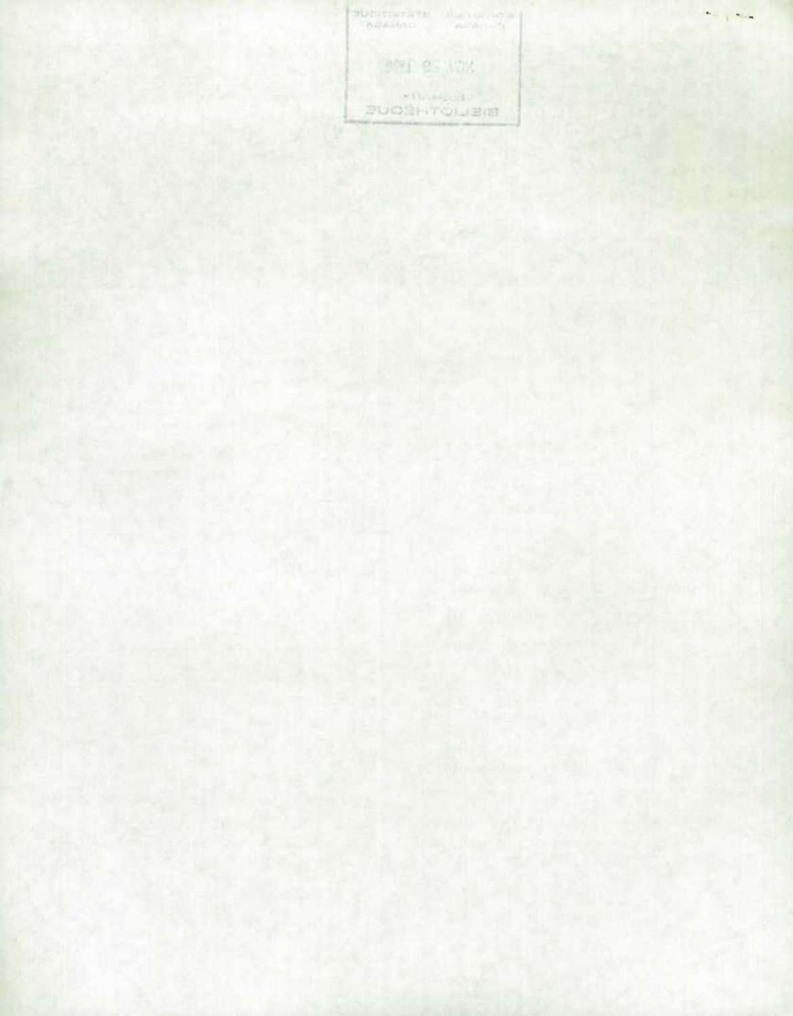$\begin{tabular}{|l|c|c|c|} \hline \textbf{Submatrix} & \textbf{if} & \textbf{if} & \textbf{if} \\ \hline \textbf{Addation} & \textbf{Aut}(n) & \textbf{if} \\ \hline \end{tabular}$ 

**MARY AS WORK** 

**STANDARD BAR PUORHYOIJEIN**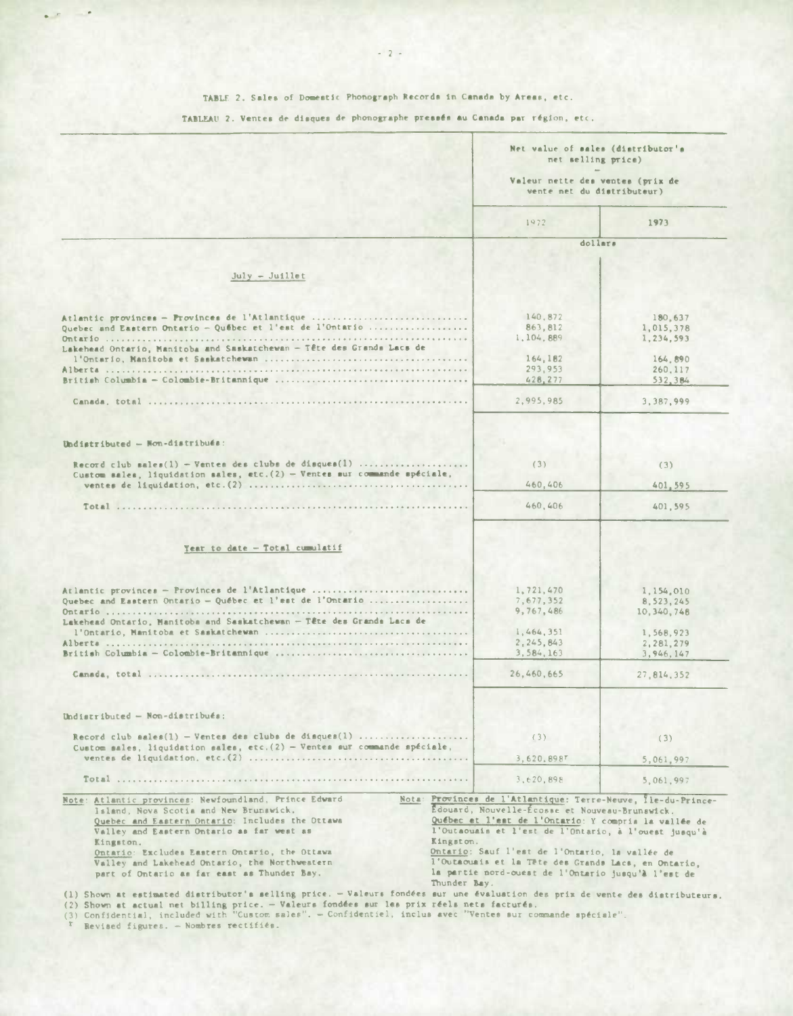TABLE 2. Sales of Domestic Phonograph Records in Canada by Areas, etc. TABIEAU 2. Ventes de diaques de phonographe pressés au Canada par région, etc.

|                                                                                                                                      | Net value of sales (distributor's<br>net selling price)<br>Valeur nette des ventes (prix de<br>vente net du distributeur) |                        |  |
|--------------------------------------------------------------------------------------------------------------------------------------|---------------------------------------------------------------------------------------------------------------------------|------------------------|--|
|                                                                                                                                      |                                                                                                                           |                        |  |
|                                                                                                                                      | 1972                                                                                                                      | 1973                   |  |
|                                                                                                                                      | dollars                                                                                                                   |                        |  |
| $July - Juillet$                                                                                                                     |                                                                                                                           |                        |  |
|                                                                                                                                      |                                                                                                                           |                        |  |
| Atlantic provinces - Provinces de l'Atlantique                                                                                       | 140,872                                                                                                                   | 180,637                |  |
| Quebec and Eastern Ontario - Québec et l'est de l'Ontario                                                                            | 863, 812                                                                                                                  | 1,015,378              |  |
| Lakehead Ontario, Manitoba and Saskatchewan - Tête des Grands Lacs de                                                                | 1,104,889                                                                                                                 | 1, 234, 593            |  |
|                                                                                                                                      | 164,182                                                                                                                   | 164.890                |  |
|                                                                                                                                      | 293,953                                                                                                                   | 260, 117               |  |
|                                                                                                                                      | 428, 277                                                                                                                  | 532,384                |  |
|                                                                                                                                      | 2,995,985                                                                                                                 | 3, 387, 999            |  |
|                                                                                                                                      |                                                                                                                           |                        |  |
| Undistributed - Non-distribués:                                                                                                      |                                                                                                                           |                        |  |
| Record club sales(1) - Ventes des clubs de disques(1)                                                                                | (3)                                                                                                                       | (3)                    |  |
| Custom sales, liquidation sales, etc.(2) - Ventes sur commande spéciale,                                                             |                                                                                                                           |                        |  |
|                                                                                                                                      | 460,406                                                                                                                   | 401,595                |  |
| Total<br>.                                                                                                                           | 460,406                                                                                                                   | 401,595                |  |
|                                                                                                                                      |                                                                                                                           |                        |  |
| Year to date - Total cumulatif                                                                                                       |                                                                                                                           |                        |  |
|                                                                                                                                      |                                                                                                                           |                        |  |
| Atlantic provinces - Provinces de l'Atlantique<br>Quebec and Eastern Ontario - Québec et l'est de l'Ontario                          | 1,721,470<br>7,677,352                                                                                                    | 1,154,010<br>8.523.245 |  |
|                                                                                                                                      | 9,767,486                                                                                                                 | 10, 340, 748           |  |
| Lakehead Ontario, Manitoba and Saskatchewan - Tête des Grands Lacs de                                                                |                                                                                                                           |                        |  |
|                                                                                                                                      | 1,464,351                                                                                                                 | 1,568,923              |  |
|                                                                                                                                      | 2, 245, 843                                                                                                               | 2,281.279              |  |
|                                                                                                                                      | 3, 584, 163                                                                                                               | 3,946,147              |  |
|                                                                                                                                      | 26,460,665                                                                                                                | 27.814.352             |  |
|                                                                                                                                      |                                                                                                                           |                        |  |
| Undistributed $-$ Non-distribués:                                                                                                    |                                                                                                                           |                        |  |
| Record club sales(1) - Ventes des clubs de disques(1)<br>Custom sales. liquidation sales, etc. $(2)$ - Ventes sur commande spéciale, | (3)                                                                                                                       | (3)                    |  |
|                                                                                                                                      | 3,620.8987                                                                                                                | 5,061,997              |  |
|                                                                                                                                      | 3,620,898                                                                                                                 | 5,061,997              |  |

Quebec and Eastern Ontario: Includes the Ottawa<br>Valley and Eastern Ontario as far west as Québec et l'est de l'Ontario: Y compris la vallée de l'Outaouais et l'est de l'Ontario, à l'ouest jusqu'à Kingston. Kingston. Eingston.<br><u>Ontario</u>: Sauf l'est de l'Ontario, la vallée de<br>l'Outaouais et la Tête des Grands Laca, en Ontario,<br>la partie nord-ouest de l'Ontario jusqu'à l'est de Ontario: Excludes Eastern Ontario, the Ottawa Valley and Lakehead Ontario, the Northwestern<br>part of Ontario as far east as Thunder Bay. Thunder Bay.

(1) Shown at estimated distributor's selling price. - Valeurs fondées sur une évaluation des prix de vente des distributeurs.

(2) Shown at actual net billing price. - Valeurs fondées sur les prix réels nets facturés.<br>(3) Confidential, included with "Custom saleurs". - Confidentiel, inclus avec "Ventes sur commande spéciale".<br>F Bevised figures - N

Revised figures. - Nombres rectifiés.

 $\rightarrow$ 

 $\bullet$  .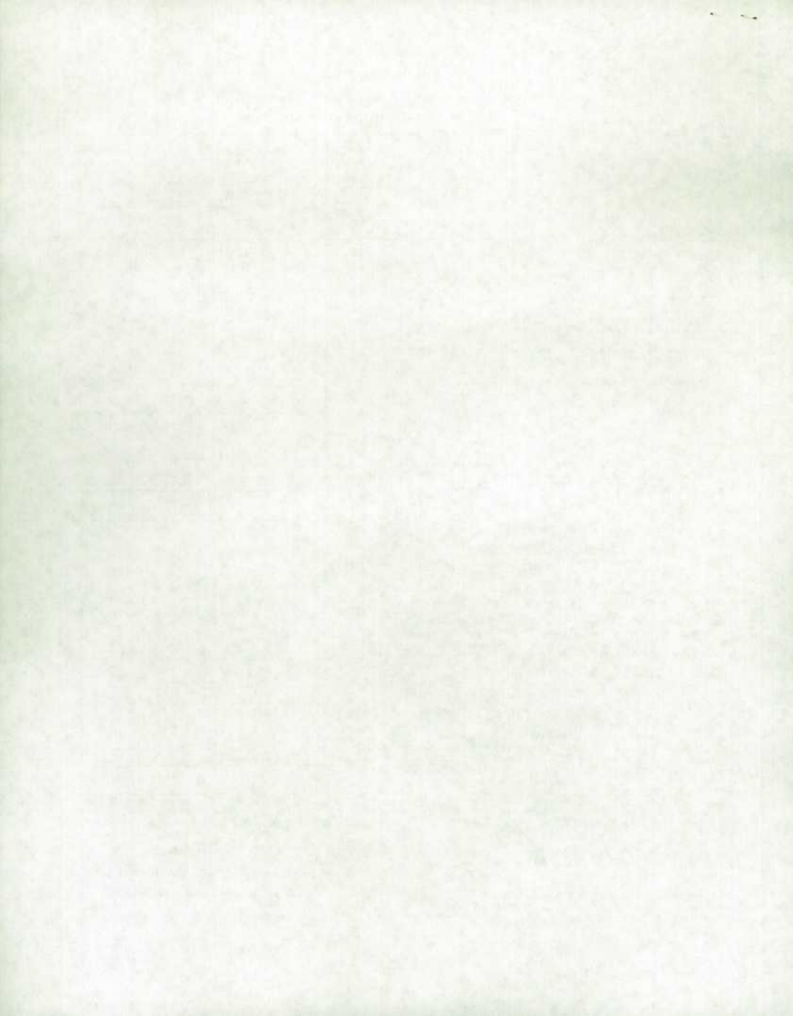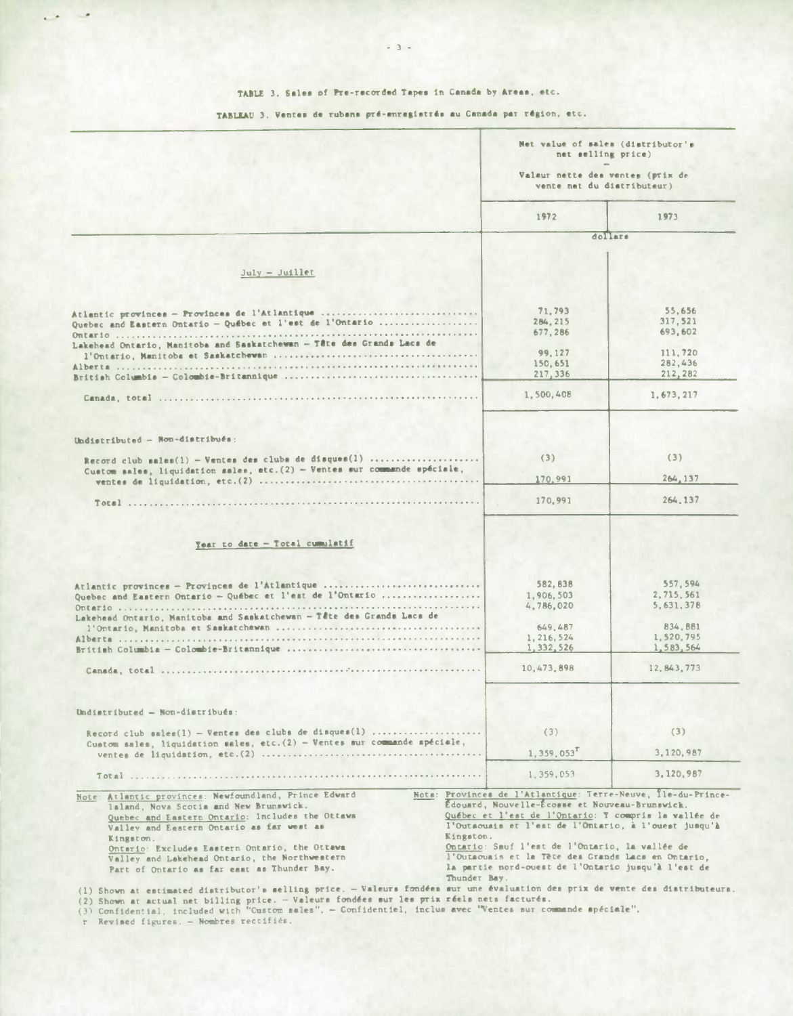## TABLE 3. Sales of Pre-recorded Tapes in Canada by Areas, etc.

TABLEAU 3. Ventes de rubans pré-enregistrés au Canada par région, etc.

|                                                                                                                                                                                                                                                                                                                                                                                                                                                                                                                                                                                                                                                                                                             |                                                                                                                                                                                                                                                                                                                                                                                                                           | Net value of sales (distributor's<br>net selling price)<br>Valaur nette des ventes (prix de<br>vente net du distributeur) |                                                    |  |
|-------------------------------------------------------------------------------------------------------------------------------------------------------------------------------------------------------------------------------------------------------------------------------------------------------------------------------------------------------------------------------------------------------------------------------------------------------------------------------------------------------------------------------------------------------------------------------------------------------------------------------------------------------------------------------------------------------------|---------------------------------------------------------------------------------------------------------------------------------------------------------------------------------------------------------------------------------------------------------------------------------------------------------------------------------------------------------------------------------------------------------------------------|---------------------------------------------------------------------------------------------------------------------------|----------------------------------------------------|--|
|                                                                                                                                                                                                                                                                                                                                                                                                                                                                                                                                                                                                                                                                                                             | 1972                                                                                                                                                                                                                                                                                                                                                                                                                      |                                                                                                                           | 1973                                               |  |
|                                                                                                                                                                                                                                                                                                                                                                                                                                                                                                                                                                                                                                                                                                             |                                                                                                                                                                                                                                                                                                                                                                                                                           | dollars                                                                                                                   |                                                    |  |
|                                                                                                                                                                                                                                                                                                                                                                                                                                                                                                                                                                                                                                                                                                             |                                                                                                                                                                                                                                                                                                                                                                                                                           |                                                                                                                           |                                                    |  |
| $July - Juillet$                                                                                                                                                                                                                                                                                                                                                                                                                                                                                                                                                                                                                                                                                            |                                                                                                                                                                                                                                                                                                                                                                                                                           |                                                                                                                           |                                                    |  |
|                                                                                                                                                                                                                                                                                                                                                                                                                                                                                                                                                                                                                                                                                                             |                                                                                                                                                                                                                                                                                                                                                                                                                           |                                                                                                                           |                                                    |  |
| Atlantic provinces - Provinces de l'Atlantique<br>Quebec and Eastern Ontario - Québec et l'est de l'Ontario<br>Lakehead Ontario, Manitoba and Saskatchewan - Tâte des Grands Lacs de                                                                                                                                                                                                                                                                                                                                                                                                                                                                                                                        | 71.793<br>284, 215<br>677,286<br>99.127<br>150.651                                                                                                                                                                                                                                                                                                                                                                        |                                                                                                                           | 55.656<br>317,521<br>693,602<br>111,720<br>282,436 |  |
|                                                                                                                                                                                                                                                                                                                                                                                                                                                                                                                                                                                                                                                                                                             | 217, 336                                                                                                                                                                                                                                                                                                                                                                                                                  |                                                                                                                           | 212,282                                            |  |
|                                                                                                                                                                                                                                                                                                                                                                                                                                                                                                                                                                                                                                                                                                             | 1,500,408                                                                                                                                                                                                                                                                                                                                                                                                                 |                                                                                                                           | 1,673,217                                          |  |
|                                                                                                                                                                                                                                                                                                                                                                                                                                                                                                                                                                                                                                                                                                             |                                                                                                                                                                                                                                                                                                                                                                                                                           |                                                                                                                           |                                                    |  |
|                                                                                                                                                                                                                                                                                                                                                                                                                                                                                                                                                                                                                                                                                                             |                                                                                                                                                                                                                                                                                                                                                                                                                           |                                                                                                                           |                                                    |  |
| Undistributed - Non-distribués:                                                                                                                                                                                                                                                                                                                                                                                                                                                                                                                                                                                                                                                                             |                                                                                                                                                                                                                                                                                                                                                                                                                           |                                                                                                                           |                                                    |  |
| Record club sales(1) - Ventes des clubs de disques(1)<br>Custom sales, liquidation sales, etc. (2) - Ventes sur commande spéciale,                                                                                                                                                                                                                                                                                                                                                                                                                                                                                                                                                                          | (3)                                                                                                                                                                                                                                                                                                                                                                                                                       |                                                                                                                           | (3)                                                |  |
|                                                                                                                                                                                                                                                                                                                                                                                                                                                                                                                                                                                                                                                                                                             | 170.991                                                                                                                                                                                                                                                                                                                                                                                                                   |                                                                                                                           | 264, 137                                           |  |
|                                                                                                                                                                                                                                                                                                                                                                                                                                                                                                                                                                                                                                                                                                             | 170,991                                                                                                                                                                                                                                                                                                                                                                                                                   |                                                                                                                           | 264, 137                                           |  |
|                                                                                                                                                                                                                                                                                                                                                                                                                                                                                                                                                                                                                                                                                                             |                                                                                                                                                                                                                                                                                                                                                                                                                           |                                                                                                                           |                                                    |  |
| Tear to date - Total cumulatif                                                                                                                                                                                                                                                                                                                                                                                                                                                                                                                                                                                                                                                                              |                                                                                                                                                                                                                                                                                                                                                                                                                           |                                                                                                                           |                                                    |  |
| Atlantic provinces - Provinces de l'Atlantique<br>Quebec and Eastern Ontario - Québec et l'est de l'Ontario                                                                                                                                                                                                                                                                                                                                                                                                                                                                                                                                                                                                 | 1,906,503                                                                                                                                                                                                                                                                                                                                                                                                                 | 582, 838                                                                                                                  | 557.594<br>2,715.561                               |  |
| Lakehead Ontario, Manitoba and Saskatchewan - Tête des Grands Lacs de                                                                                                                                                                                                                                                                                                                                                                                                                                                                                                                                                                                                                                       | 4,786,020                                                                                                                                                                                                                                                                                                                                                                                                                 |                                                                                                                           | 5.631.378                                          |  |
|                                                                                                                                                                                                                                                                                                                                                                                                                                                                                                                                                                                                                                                                                                             |                                                                                                                                                                                                                                                                                                                                                                                                                           | 649.487                                                                                                                   | 834, 881                                           |  |
|                                                                                                                                                                                                                                                                                                                                                                                                                                                                                                                                                                                                                                                                                                             | 1.216.524<br>1,332,526                                                                                                                                                                                                                                                                                                                                                                                                    |                                                                                                                           | 1.520.795<br>1.583.564                             |  |
|                                                                                                                                                                                                                                                                                                                                                                                                                                                                                                                                                                                                                                                                                                             | 10,473,898                                                                                                                                                                                                                                                                                                                                                                                                                |                                                                                                                           | 12, 843, 773                                       |  |
|                                                                                                                                                                                                                                                                                                                                                                                                                                                                                                                                                                                                                                                                                                             |                                                                                                                                                                                                                                                                                                                                                                                                                           |                                                                                                                           |                                                    |  |
|                                                                                                                                                                                                                                                                                                                                                                                                                                                                                                                                                                                                                                                                                                             |                                                                                                                                                                                                                                                                                                                                                                                                                           |                                                                                                                           |                                                    |  |
| Undistributed - Non-distribués:                                                                                                                                                                                                                                                                                                                                                                                                                                                                                                                                                                                                                                                                             |                                                                                                                                                                                                                                                                                                                                                                                                                           |                                                                                                                           |                                                    |  |
| Record club sales(1) - Ventes des clubs de disques(1)                                                                                                                                                                                                                                                                                                                                                                                                                                                                                                                                                                                                                                                       | (3)                                                                                                                                                                                                                                                                                                                                                                                                                       |                                                                                                                           | (3)                                                |  |
| Custom sales, liquidation sales, etc. (2) - Ventes sur commande spéciale,                                                                                                                                                                                                                                                                                                                                                                                                                                                                                                                                                                                                                                   |                                                                                                                                                                                                                                                                                                                                                                                                                           |                                                                                                                           |                                                    |  |
|                                                                                                                                                                                                                                                                                                                                                                                                                                                                                                                                                                                                                                                                                                             | 1,359.053 <sup>r</sup>                                                                                                                                                                                                                                                                                                                                                                                                    |                                                                                                                           | 3,120,987                                          |  |
|                                                                                                                                                                                                                                                                                                                                                                                                                                                                                                                                                                                                                                                                                                             | 1,359,053                                                                                                                                                                                                                                                                                                                                                                                                                 |                                                                                                                           | 3,120,987                                          |  |
| Note: Atlantic provinces: Newfoundland, Prince Edward<br>Island, Nova Scotia and New Brunswick.<br>Quebec and Eastern Ontario: Includes the Ottawa<br>Valley and Eestern Ontario as far west as<br>Kingston.<br>Ontario: Excludes Eastern Ontario, the Ottawa<br>Valley and Lakehead Ontario, the Northwestern<br>Part of Ontario as far east as Thunder Bay.<br>(1) Shown at estimated distributor's selling price. - Valeurs fondées sur une évaluation des prix de vente des distributeurs.<br>(2) Shown at actual net billing price. - Valeurs fondées sur les prix réels nets facturés.<br>(3) Confidential, included with "Custom sales". - Confidentiel, inclus avec "Ventes sur commande spéciale". | Nota: Provinces de l'Atlantique: Terre-Neuve, Ile-du-Prince-<br>Édouard, Nouvelle-Écosse et Nouveau-Brunswick.<br>Québec et l'est de l'Ontario: Y compris la vallée de<br>l'Outsouais et l'est de l'Ontario, à l'ouest jusqu'à<br>Kingston.<br>Ontario: Sauf l'est de l'Ontario, la vallée de<br>l'Outaquais et la Tète des Grands Lacs en Ontario.<br>la partie nord-ouest de l'Ontario jusqu'à l'est de<br>Thunder Bay. |                                                                                                                           |                                                    |  |
| r Revised figures. - Nombres rectifiés.                                                                                                                                                                                                                                                                                                                                                                                                                                                                                                                                                                                                                                                                     |                                                                                                                                                                                                                                                                                                                                                                                                                           |                                                                                                                           |                                                    |  |

 $\epsilon$  .

 $\overline{\phantom{a}}$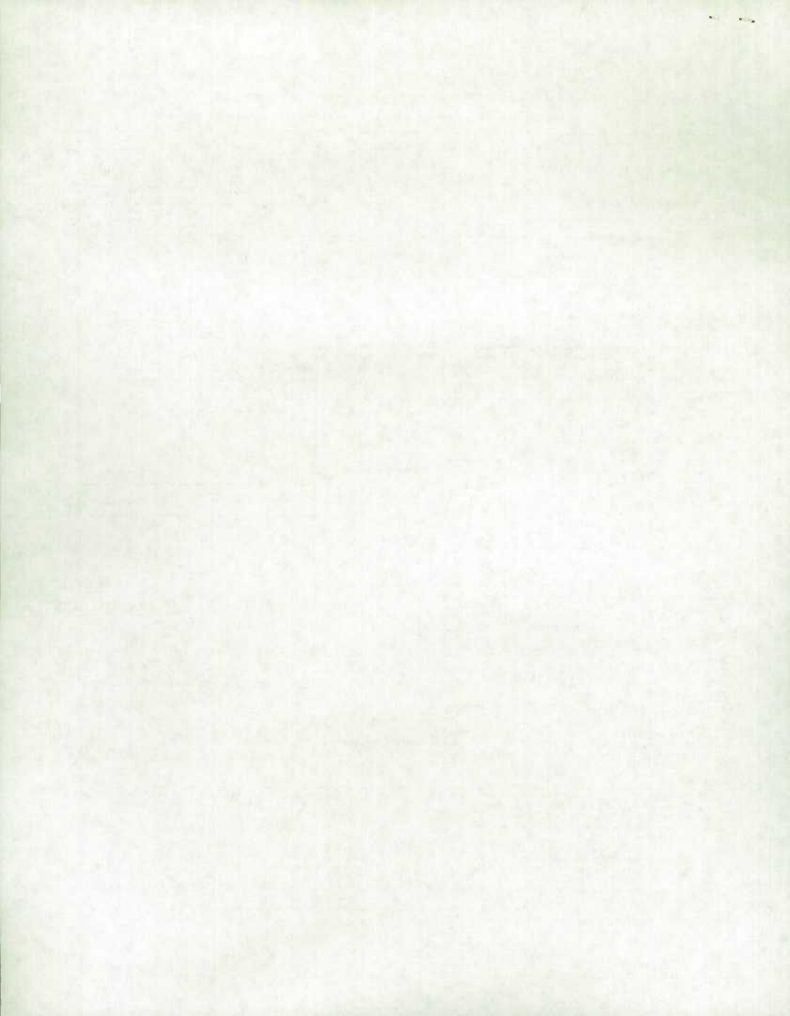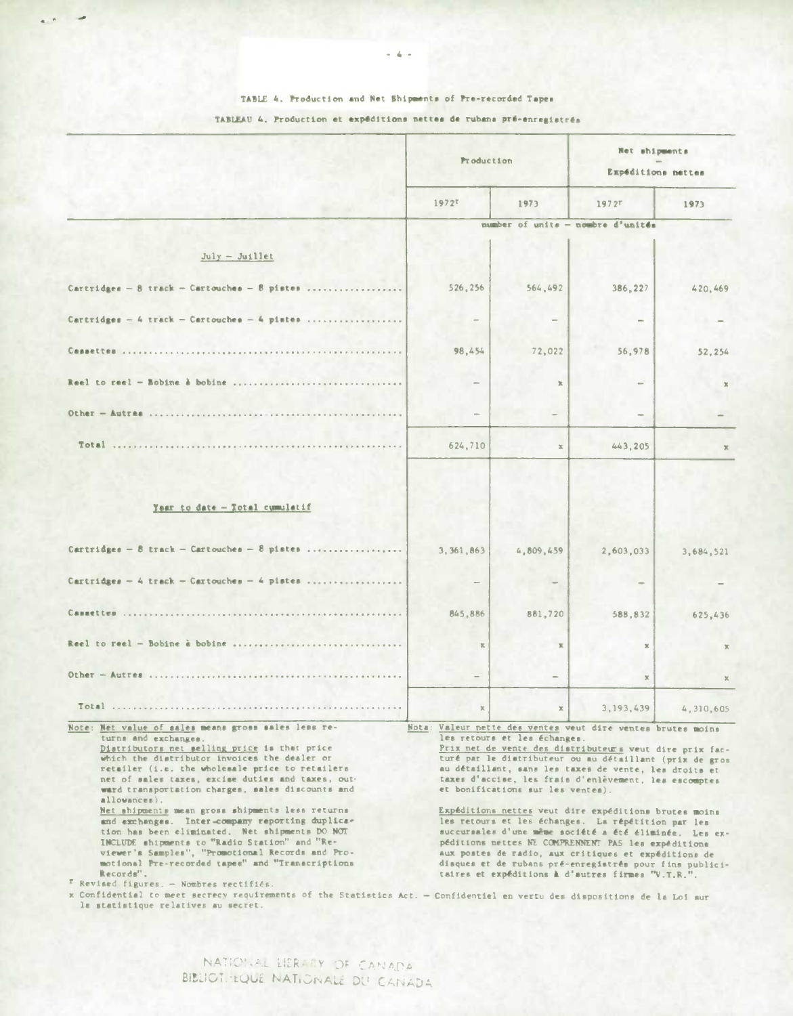## TABLE 4. Production and Net Shipments of Pre-recorded Tapes

|                                                                                                                                                                                                                                                                                                                                                                                                                                                                                                                                                                                                                                                                                        | Production                                                                                                                                                                                                                                                                                                                                                                                                                                                                                                                                                                                                                                                                                                                                                                       |                         | Net shipments.<br>Expéditions nettes |               |  |
|----------------------------------------------------------------------------------------------------------------------------------------------------------------------------------------------------------------------------------------------------------------------------------------------------------------------------------------------------------------------------------------------------------------------------------------------------------------------------------------------------------------------------------------------------------------------------------------------------------------------------------------------------------------------------------------|----------------------------------------------------------------------------------------------------------------------------------------------------------------------------------------------------------------------------------------------------------------------------------------------------------------------------------------------------------------------------------------------------------------------------------------------------------------------------------------------------------------------------------------------------------------------------------------------------------------------------------------------------------------------------------------------------------------------------------------------------------------------------------|-------------------------|--------------------------------------|---------------|--|
|                                                                                                                                                                                                                                                                                                                                                                                                                                                                                                                                                                                                                                                                                        | 1972 <sup>T</sup>                                                                                                                                                                                                                                                                                                                                                                                                                                                                                                                                                                                                                                                                                                                                                                | 1973                    | 1972r                                | 1973          |  |
|                                                                                                                                                                                                                                                                                                                                                                                                                                                                                                                                                                                                                                                                                        | number of units - nombre d'unités                                                                                                                                                                                                                                                                                                                                                                                                                                                                                                                                                                                                                                                                                                                                                |                         |                                      |               |  |
| $July - Juillet$                                                                                                                                                                                                                                                                                                                                                                                                                                                                                                                                                                                                                                                                       |                                                                                                                                                                                                                                                                                                                                                                                                                                                                                                                                                                                                                                                                                                                                                                                  |                         |                                      |               |  |
| Cartridges - 8 track - Cartouches - 8 pistes                                                                                                                                                                                                                                                                                                                                                                                                                                                                                                                                                                                                                                           | 526,256                                                                                                                                                                                                                                                                                                                                                                                                                                                                                                                                                                                                                                                                                                                                                                          | 564,492                 | 386, 227                             | 420,469       |  |
| Cartridges - 4 track - Cartouches - 4 pistes                                                                                                                                                                                                                                                                                                                                                                                                                                                                                                                                                                                                                                           |                                                                                                                                                                                                                                                                                                                                                                                                                                                                                                                                                                                                                                                                                                                                                                                  |                         |                                      |               |  |
|                                                                                                                                                                                                                                                                                                                                                                                                                                                                                                                                                                                                                                                                                        | 98,454                                                                                                                                                                                                                                                                                                                                                                                                                                                                                                                                                                                                                                                                                                                                                                           | 72,022                  | 56,978                               | 52,254        |  |
| Reel to reel - Bobine $\lambda$ bobine                                                                                                                                                                                                                                                                                                                                                                                                                                                                                                                                                                                                                                                 |                                                                                                                                                                                                                                                                                                                                                                                                                                                                                                                                                                                                                                                                                                                                                                                  | $\mathbb{R}$            |                                      | $\mathbbm{R}$ |  |
|                                                                                                                                                                                                                                                                                                                                                                                                                                                                                                                                                                                                                                                                                        |                                                                                                                                                                                                                                                                                                                                                                                                                                                                                                                                                                                                                                                                                                                                                                                  |                         |                                      |               |  |
|                                                                                                                                                                                                                                                                                                                                                                                                                                                                                                                                                                                                                                                                                        | 624,710                                                                                                                                                                                                                                                                                                                                                                                                                                                                                                                                                                                                                                                                                                                                                                          | $\mathbf{x}$            | 443,205                              | $\mathbb{X}$  |  |
| Year to date - Total cumulatif<br>Cartridges - 8 track - Cartouches - 8 pistes                                                                                                                                                                                                                                                                                                                                                                                                                                                                                                                                                                                                         |                                                                                                                                                                                                                                                                                                                                                                                                                                                                                                                                                                                                                                                                                                                                                                                  | $3,361,863$ $4,809,459$ | 2,603,033                            | 3,684,521     |  |
| Cartridges - 4 track - Cartouches - 4 pistes                                                                                                                                                                                                                                                                                                                                                                                                                                                                                                                                                                                                                                           |                                                                                                                                                                                                                                                                                                                                                                                                                                                                                                                                                                                                                                                                                                                                                                                  |                         |                                      |               |  |
|                                                                                                                                                                                                                                                                                                                                                                                                                                                                                                                                                                                                                                                                                        | 845,886                                                                                                                                                                                                                                                                                                                                                                                                                                                                                                                                                                                                                                                                                                                                                                          | 881,720                 | 588,832                              | 625,436       |  |
| Reel to reel - Bobine à bobine                                                                                                                                                                                                                                                                                                                                                                                                                                                                                                                                                                                                                                                         | $\mathbbm{K}$                                                                                                                                                                                                                                                                                                                                                                                                                                                                                                                                                                                                                                                                                                                                                                    |                         | $\mathbf x$                          | ×             |  |
|                                                                                                                                                                                                                                                                                                                                                                                                                                                                                                                                                                                                                                                                                        |                                                                                                                                                                                                                                                                                                                                                                                                                                                                                                                                                                                                                                                                                                                                                                                  |                         | $\mathbbm{R}$                        | $\mathbb{X}$  |  |
|                                                                                                                                                                                                                                                                                                                                                                                                                                                                                                                                                                                                                                                                                        | x                                                                                                                                                                                                                                                                                                                                                                                                                                                                                                                                                                                                                                                                                                                                                                                | x                       | 3, 193, 439                          | 4, 310, 605   |  |
| Note: Net value of sales means gross sales less re-<br>turns and exchanges.<br>Distributors net selling price is that price<br>which the distributor invoices the dealer or<br>retailer (i.e. the wholesale price to retailers<br>net of sales taxes, excise duties and taxes, out-<br>ward transportation charges, sales discounts and<br>allowances).<br>Net shipments mean gross shipments less returns.<br>and exchanges. Inter-company reporting duplica-<br>tion has been eliminated. Net shipments DO NOT<br>INCLUDE shipments to "Radio Station" and "Re-<br>viewer's Samples", "Promotional Records and Pro-<br>motional Pre-recorded tapes" and "Transcriptions<br>Records". | Nota: Valeur nette des ventes veut dire ventes brutes moins<br>les retours et les échanges.<br>Prix net de vente des distributeurs veut dire prix fac-<br>turé par le distributeur ou au détaillant (prix de gros<br>au détaillant, sans les taxes de vente, les droits et<br>taxes d'accise, les frais d'enlèvement, les escomptes<br>et bonifications sur les ventes).<br>Expéditions nettes veut dire expéditions brutes moins<br>les retours et les échanges. La répétition par les<br>succursales d'une même société a été éliminée. Les ex-<br>péditions nettes NE COMPRENNENT PAS les expéditions<br>aux postes de radio, aux critiques et expéditions de<br>disques et de rubans pré-enregistrés pour fins publici-<br>taires et expéditions à d'autres firmes "V.T.R.". |                         |                                      |               |  |

## TABLEAU 4. Production et expéditions nettes de rubans pré-enregistrés

x Confidential to meet secrecy requirements of the Statistics Act. — Confidentiel en vertu des dispositions de la Loi sur<br>La statistique relatives au secret.